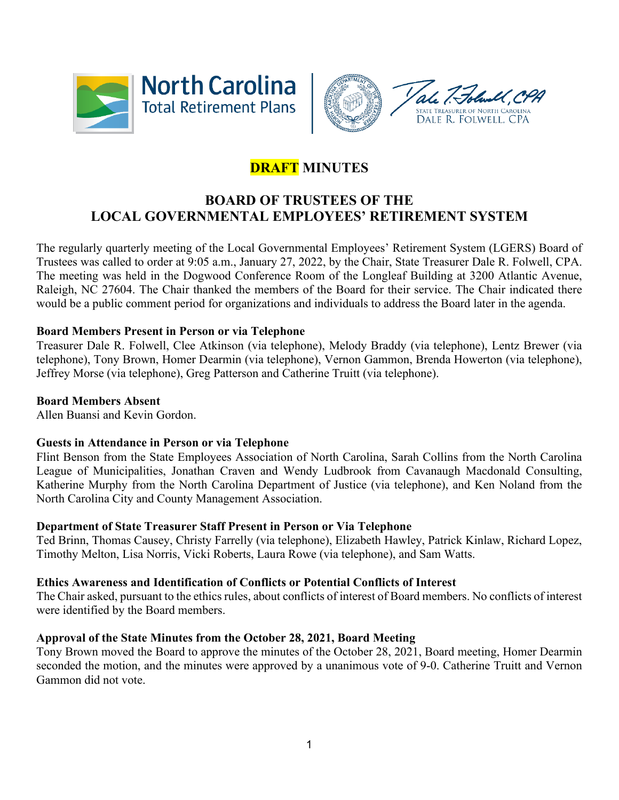



# **DRAFT MINUTES**

# **BOARD OF TRUSTEES OF THE LOCAL GOVERNMENTAL EMPLOYEES' RETIREMENT SYSTEM**

The regularly quarterly meeting of the Local Governmental Employees' Retirement System (LGERS) Board of Trustees was called to order at 9:05 a.m., January 27, 2022, by the Chair, State Treasurer Dale R. Folwell, CPA. The meeting was held in the Dogwood Conference Room of the Longleaf Building at 3200 Atlantic Avenue, Raleigh, NC 27604. The Chair thanked the members of the Board for their service. The Chair indicated there would be a public comment period for organizations and individuals to address the Board later in the agenda.

# **Board Members Present in Person or via Telephone**

Treasurer Dale R. Folwell, Clee Atkinson (via telephone), Melody Braddy (via telephone), Lentz Brewer (via telephone), Tony Brown, Homer Dearmin (via telephone), Vernon Gammon, Brenda Howerton (via telephone), Jeffrey Morse (via telephone), Greg Patterson and Catherine Truitt (via telephone).

#### **Board Members Absent**

Allen Buansi and Kevin Gordon.

#### **Guests in Attendance in Person or via Telephone**

Flint Benson from the State Employees Association of North Carolina, Sarah Collins from the North Carolina League of Municipalities, Jonathan Craven and Wendy Ludbrook from Cavanaugh Macdonald Consulting, Katherine Murphy from the North Carolina Department of Justice (via telephone), and Ken Noland from the North Carolina City and County Management Association.

#### **Department of State Treasurer Staff Present in Person or Via Telephone**

Ted Brinn, Thomas Causey, Christy Farrelly (via telephone), Elizabeth Hawley, Patrick Kinlaw, Richard Lopez, Timothy Melton, Lisa Norris, Vicki Roberts, Laura Rowe (via telephone), and Sam Watts.

#### **Ethics Awareness and Identification of Conflicts or Potential Conflicts of Interest**

The Chair asked, pursuant to the ethics rules, about conflicts of interest of Board members. No conflicts of interest were identified by the Board members.

#### **Approval of the State Minutes from the October 28, 2021, Board Meeting**

Tony Brown moved the Board to approve the minutes of the October 28, 2021, Board meeting, Homer Dearmin seconded the motion, and the minutes were approved by a unanimous vote of 9-0. Catherine Truitt and Vernon Gammon did not vote.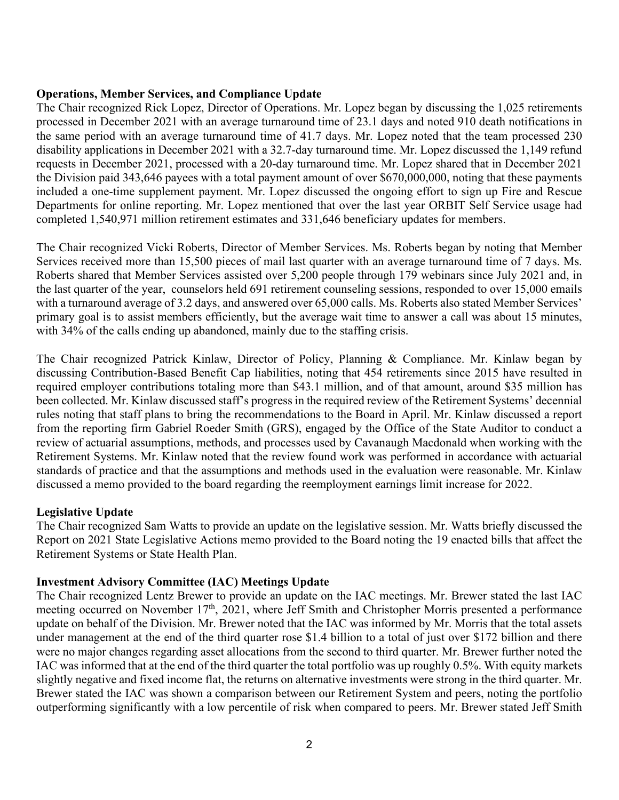#### **Operations, Member Services, and Compliance Update**

The Chair recognized Rick Lopez, Director of Operations. Mr. Lopez began by discussing the 1,025 retirements processed in December 2021 with an average turnaround time of 23.1 days and noted 910 death notifications in the same period with an average turnaround time of 41.7 days. Mr. Lopez noted that the team processed 230 disability applications in December 2021 with a 32.7-day turnaround time. Mr. Lopez discussed the 1,149 refund requests in December 2021, processed with a 20-day turnaround time. Mr. Lopez shared that in December 2021 the Division paid 343,646 payees with a total payment amount of over \$670,000,000, noting that these payments included a one-time supplement payment. Mr. Lopez discussed the ongoing effort to sign up Fire and Rescue Departments for online reporting. Mr. Lopez mentioned that over the last year ORBIT Self Service usage had completed 1,540,971 million retirement estimates and 331,646 beneficiary updates for members.

The Chair recognized Vicki Roberts, Director of Member Services. Ms. Roberts began by noting that Member Services received more than 15,500 pieces of mail last quarter with an average turnaround time of 7 days. Ms. Roberts shared that Member Services assisted over 5,200 people through 179 webinars since July 2021 and, in the last quarter of the year, counselors held 691 retirement counseling sessions, responded to over 15,000 emails with a turnaround average of 3.2 days, and answered over 65,000 calls. Ms. Roberts also stated Member Services' primary goal is to assist members efficiently, but the average wait time to answer a call was about 15 minutes, with 34% of the calls ending up abandoned, mainly due to the staffing crisis.

The Chair recognized Patrick Kinlaw, Director of Policy, Planning & Compliance. Mr. Kinlaw began by discussing Contribution-Based Benefit Cap liabilities, noting that 454 retirements since 2015 have resulted in required employer contributions totaling more than \$43.1 million, and of that amount, around \$35 million has been collected. Mr. Kinlaw discussed staff's progress in the required review of the Retirement Systems' decennial rules noting that staff plans to bring the recommendations to the Board in April. Mr. Kinlaw discussed a report from the reporting firm Gabriel Roeder Smith (GRS), engaged by the Office of the State Auditor to conduct a review of actuarial assumptions, methods, and processes used by Cavanaugh Macdonald when working with the Retirement Systems. Mr. Kinlaw noted that the review found work was performed in accordance with actuarial standards of practice and that the assumptions and methods used in the evaluation were reasonable. Mr. Kinlaw discussed a memo provided to the board regarding the reemployment earnings limit increase for 2022.

#### **Legislative Update**

The Chair recognized Sam Watts to provide an update on the legislative session. Mr. Watts briefly discussed the Report on 2021 State Legislative Actions memo provided to the Board noting the 19 enacted bills that affect the Retirement Systems or State Health Plan.

#### **Investment Advisory Committee (IAC) Meetings Update**

The Chair recognized Lentz Brewer to provide an update on the IAC meetings. Mr. Brewer stated the last IAC meeting occurred on November  $17<sup>th</sup>$ , 2021, where Jeff Smith and Christopher Morris presented a performance update on behalf of the Division. Mr. Brewer noted that the IAC was informed by Mr. Morris that the total assets under management at the end of the third quarter rose \$1.4 billion to a total of just over \$172 billion and there were no major changes regarding asset allocations from the second to third quarter. Mr. Brewer further noted the IAC was informed that at the end of the third quarter the total portfolio was up roughly 0.5%. With equity markets slightly negative and fixed income flat, the returns on alternative investments were strong in the third quarter. Mr. Brewer stated the IAC was shown a comparison between our Retirement System and peers, noting the portfolio outperforming significantly with a low percentile of risk when compared to peers. Mr. Brewer stated Jeff Smith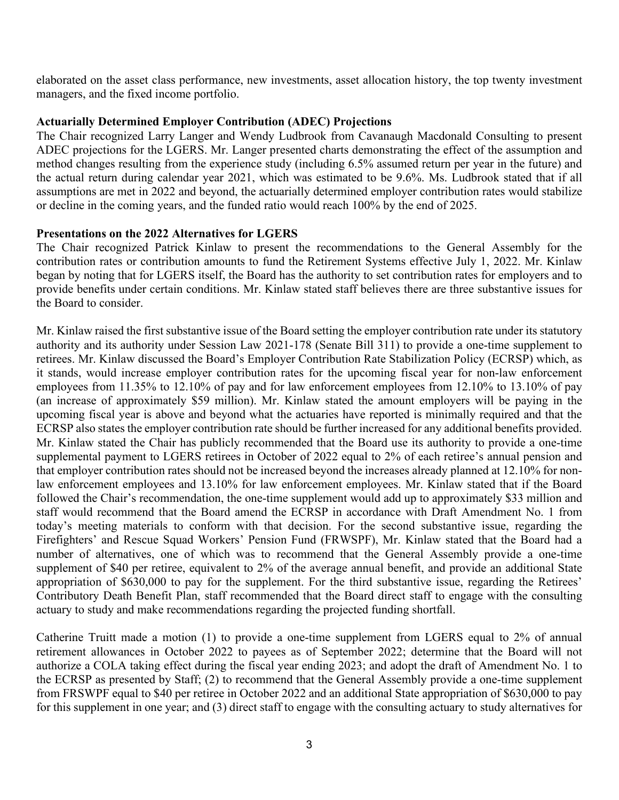elaborated on the asset class performance, new investments, asset allocation history, the top twenty investment managers, and the fixed income portfolio.

#### **Actuarially Determined Employer Contribution (ADEC) Projections**

The Chair recognized Larry Langer and Wendy Ludbrook from Cavanaugh Macdonald Consulting to present ADEC projections for the LGERS. Mr. Langer presented charts demonstrating the effect of the assumption and method changes resulting from the experience study (including 6.5% assumed return per year in the future) and the actual return during calendar year 2021, which was estimated to be 9.6%. Ms. Ludbrook stated that if all assumptions are met in 2022 and beyond, the actuarially determined employer contribution rates would stabilize or decline in the coming years, and the funded ratio would reach 100% by the end of 2025.

#### **Presentations on the 2022 Alternatives for LGERS**

The Chair recognized Patrick Kinlaw to present the recommendations to the General Assembly for the contribution rates or contribution amounts to fund the Retirement Systems effective July 1, 2022. Mr. Kinlaw began by noting that for LGERS itself, the Board has the authority to set contribution rates for employers and to provide benefits under certain conditions. Mr. Kinlaw stated staff believes there are three substantive issues for the Board to consider.

Mr. Kinlaw raised the first substantive issue of the Board setting the employer contribution rate under its statutory authority and its authority under Session Law 2021-178 (Senate Bill 311) to provide a one-time supplement to retirees. Mr. Kinlaw discussed the Board's Employer Contribution Rate Stabilization Policy (ECRSP) which, as it stands, would increase employer contribution rates for the upcoming fiscal year for non-law enforcement employees from 11.35% to 12.10% of pay and for law enforcement employees from 12.10% to 13.10% of pay (an increase of approximately \$59 million). Mr. Kinlaw stated the amount employers will be paying in the upcoming fiscal year is above and beyond what the actuaries have reported is minimally required and that the ECRSP also states the employer contribution rate should be further increased for any additional benefits provided. Mr. Kinlaw stated the Chair has publicly recommended that the Board use its authority to provide a one-time supplemental payment to LGERS retirees in October of 2022 equal to 2% of each retiree's annual pension and that employer contribution rates should not be increased beyond the increases already planned at 12.10% for nonlaw enforcement employees and 13.10% for law enforcement employees. Mr. Kinlaw stated that if the Board followed the Chair's recommendation, the one-time supplement would add up to approximately \$33 million and staff would recommend that the Board amend the ECRSP in accordance with Draft Amendment No. 1 from today's meeting materials to conform with that decision. For the second substantive issue, regarding the Firefighters' and Rescue Squad Workers' Pension Fund (FRWSPF), Mr. Kinlaw stated that the Board had a number of alternatives, one of which was to recommend that the General Assembly provide a one-time supplement of \$40 per retiree, equivalent to 2% of the average annual benefit, and provide an additional State appropriation of \$630,000 to pay for the supplement. For the third substantive issue, regarding the Retirees' Contributory Death Benefit Plan, staff recommended that the Board direct staff to engage with the consulting actuary to study and make recommendations regarding the projected funding shortfall.

Catherine Truitt made a motion (1) to provide a one-time supplement from LGERS equal to 2% of annual retirement allowances in October 2022 to payees as of September 2022; determine that the Board will not authorize a COLA taking effect during the fiscal year ending 2023; and adopt the draft of Amendment No. 1 to the ECRSP as presented by Staff; (2) to recommend that the General Assembly provide a one-time supplement from FRSWPF equal to \$40 per retiree in October 2022 and an additional State appropriation of \$630,000 to pay for this supplement in one year; and (3) direct staff to engage with the consulting actuary to study alternatives for